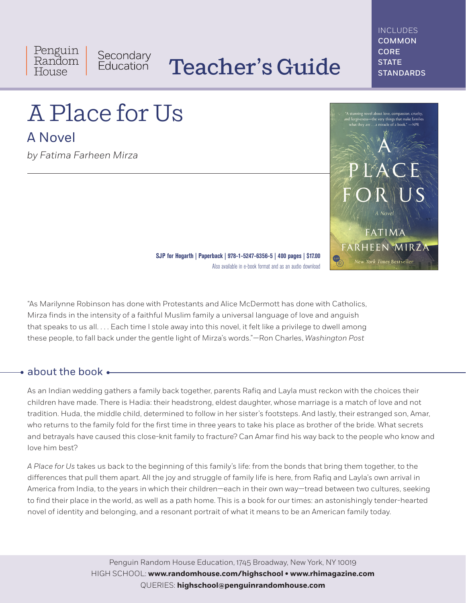Penguin Secondary<br>Education Random House

# Teacher's Guide

INCLUDES COMMON CORE **STATE STANDARDS** 

# A Place for Us

A Novel

*by Fatima Farheen Mirza*



**SJP for Hogarth | Paperback | 978-1-5247-6356-5 | 400 pages | \$17.00** Also available in e-book format and as an audio download

"As Marilynne Robinson has done with Protestants and Alice McDermott has done with Catholics, Mirza finds in the intensity of a faithful Muslim family a universal language of love and anguish that speaks to us all. . . . Each time I stole away into this novel, it felt like a privilege to dwell among these people, to fall back under the gentle light of Mirza's words."—Ron Charles, *Washington Post*

# • about the book •

As an Indian wedding gathers a family back together, parents Rafiq and Layla must reckon with the choices their children have made. There is Hadia: their headstrong, eldest daughter, whose marriage is a match of love and not tradition. Huda, the middle child, determined to follow in her sister's footsteps. And lastly, their estranged son, Amar, who returns to the family fold for the first time in three years to take his place as brother of the bride. What secrets and betrayals have caused this close-knit family to fracture? Can Amar find his way back to the people who know and love him best?

*A Place for Us* takes us back to the beginning of this family's life: from the bonds that bring them together, to the differences that pull them apart. All the joy and struggle of family life is here, from Rafiq and Layla's own arrival in America from India, to the years in which their children—each in their own way—tread between two cultures, seeking to find their place in the world, as well as a path home. This is a book for our times: an astonishingly tender-hearted novel of identity and belonging, and a resonant portrait of what it means to be an American family today.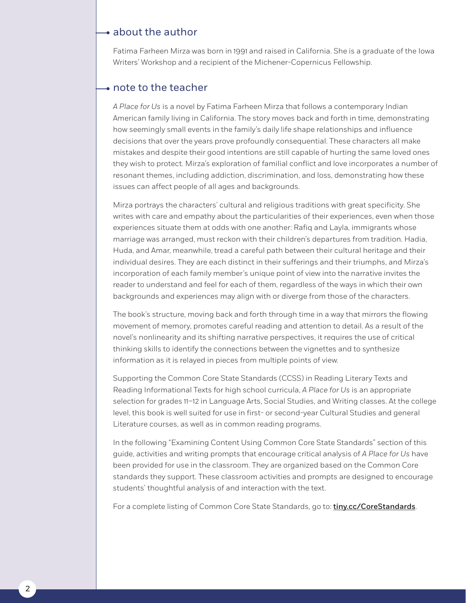## $\rightarrow$  about the author

Fatima Farheen Mirza was born in 1991 and raised in California. She is a graduate of the Iowa Writers' Workshop and a recipient of the Michener-Copernicus Fellowship.

## • note to the teacher

*A Place for Us* is a novel by Fatima Farheen Mirza that follows a contemporary Indian American family living in California. The story moves back and forth in time, demonstrating how seemingly small events in the family's daily life shape relationships and influence decisions that over the years prove profoundly consequential. These characters all make mistakes and despite their good intentions are still capable of hurting the same loved ones they wish to protect. Mirza's exploration of familial conflict and love incorporates a number of resonant themes, including addiction, discrimination, and loss, demonstrating how these issues can affect people of all ages and backgrounds.

Mirza portrays the characters' cultural and religious traditions with great specificity. She writes with care and empathy about the particularities of their experiences, even when those experiences situate them at odds with one another: Rafiq and Layla, immigrants whose marriage was arranged, must reckon with their children's departures from tradition. Hadia, Huda, and Amar, meanwhile, tread a careful path between their cultural heritage and their individual desires. They are each distinct in their sufferings and their triumphs, and Mirza's incorporation of each family member's unique point of view into the narrative invites the reader to understand and feel for each of them, regardless of the ways in which their own backgrounds and experiences may align with or diverge from those of the characters.

The book's structure, moving back and forth through time in a way that mirrors the flowing movement of memory, promotes careful reading and attention to detail. As a result of the novel's nonlinearity and its shifting narrative perspectives, it requires the use of critical thinking skills to identify the connections between the vignettes and to synthesize information as it is relayed in pieces from multiple points of view.

Supporting the Common Core State Standards (CCSS) in Reading Literary Texts and Reading Informational Texts for high school curricula, *A Place for Us* is an appropriate selection for grades 11–12 in Language Arts, Social Studies, and Writing classes. At the college level, this book is well suited for use in first- or second-year Cultural Studies and general Literature courses, as well as in common reading programs.

In the following "Examining Content Using Common Core State Standards" section of this guide, activities and writing prompts that encourage critical analysis of *A Place for Us* have been provided for use in the classroom. They are organized based on the Common Core standards they support. These classroom activities and prompts are designed to encourage students' thoughtful analysis of and interaction with the text.

For a complete listing of Common Core State Standards, go to: **[tiny.cc/CoreStandards](http://tiny.cc/CoreStandards)**.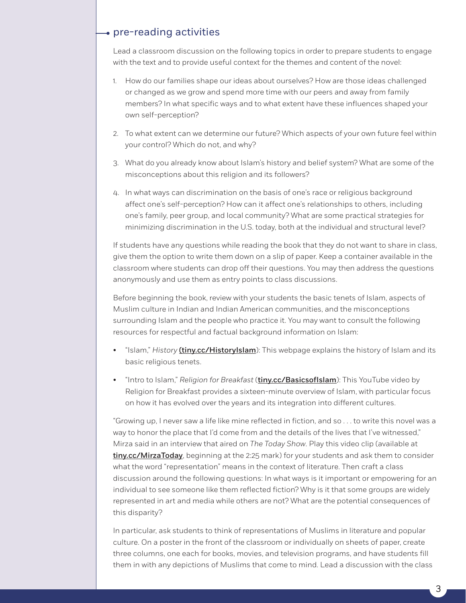## $\rightarrow$  pre-reading activities

Lead a classroom discussion on the following topics in order to prepare students to engage with the text and to provide useful context for the themes and content of the novel:

- 1. How do our families shape our ideas about ourselves? How are those ideas challenged or changed as we grow and spend more time with our peers and away from family members? In what specific ways and to what extent have these influences shaped your own self-perception?
- 2. To what extent can we determine our future? Which aspects of your own future feel within your control? Which do not, and why?
- 3. What do you already know about Islam's history and belief system? What are some of the misconceptions about this religion and its followers?
- 4. In what ways can discrimination on the basis of one's race or religious background affect one's self-perception? How can it affect one's relationships to others, including one's family, peer group, and local community? What are some practical strategies for minimizing discrimination in the U.S. today, both at the individual and structural level?

If students have any questions while reading the book that they do not want to share in class, give them the option to write them down on a slip of paper. Keep a container available in the classroom where students can drop off their questions. You may then address the questions anonymously and use them as entry points to class discussions.

Before beginning the book, review with your students the basic tenets of Islam, aspects of Muslim culture in Indian and Indian American communities, and the misconceptions surrounding Islam and the people who practice it. You may want to consult the following resources for respectful and factual background information on Islam:

- "Islam," History *([tiny.cc/HistoryIslam](http://tiny.cc/HistoryIslam)*): This webpage explains the history of Islam and its basic religious tenets.
- "Intro to Islam," *Religion for Breakfast* (*[tiny.cc/BasicsofIslam](http://tiny.cc/BasicsofIslam)*): This YouTube video by Religion for Breakfast provides a sixteen-minute overview of Islam, with particular focus on how it has evolved over the years and its integration into different cultures.

"Growing up, I never saw a life like mine reflected in fiction, and so . . . to write this novel was a way to honor the place that I'd come from and the details of the lives that I've witnessed," Mirza said in an interview that aired on *The Today Show*. Play this video clip (available at [tiny.cc/MirzaToday](http://tiny.cc/MirzaToday), beginning at the 2:25 mark) for your students and ask them to consider what the word "representation" means in the context of literature. Then craft a class discussion around the following questions: In what ways is it important or empowering for an individual to see someone like them reflected fiction? Why is it that some groups are widely represented in art and media while others are not? What are the potential consequences of this disparity?

In particular, ask students to think of representations of Muslims in literature and popular culture. On a poster in the front of the classroom or individually on sheets of paper, create three columns, one each for books, movies, and television programs, and have students fill them in with any depictions of Muslims that come to mind. Lead a discussion with the class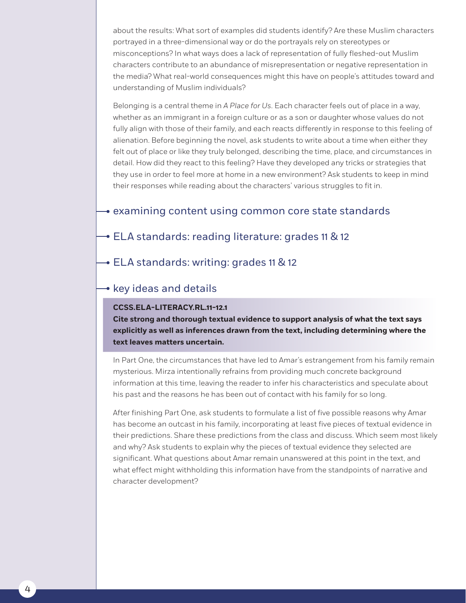about the results: What sort of examples did students identify? Are these Muslim characters portrayed in a three-dimensional way or do the portrayals rely on stereotypes or misconceptions? In what ways does a lack of representation of fully fleshed-out Muslim characters contribute to an abundance of misrepresentation or negative representation in the media? What real-world consequences might this have on people's attitudes toward and understanding of Muslim individuals?

Belonging is a central theme in *A Place for Us*. Each character feels out of place in a way, whether as an immigrant in a foreign culture or as a son or daughter whose values do not fully align with those of their family, and each reacts differently in response to this feeling of alienation. Before beginning the novel, ask students to write about a time when either they felt out of place or like they truly belonged, describing the time, place, and circumstances in detail. How did they react to this feeling? Have they developed any tricks or strategies that they use in order to feel more at home in a new environment? Ask students to keep in mind their responses while reading about the characters' various struggles to fit in.

## $\rightarrow$  examining content using common core state standards

**→ ELA standards: reading literature: grades 11 & 12** 

**→ ELA standards: writing: grades 11 & 12** 

# $\rightarrow$  key ideas and details

#### **CCSS.ELA-LITERACY.RL.11-12.1**

**Cite strong and thorough textual evidence to support analysis of what the text says explicitly as well as inferences drawn from the text, including determining where the text leaves matters uncertain.**

In Part One, the circumstances that have led to Amar's estrangement from his family remain mysterious. Mirza intentionally refrains from providing much concrete background information at this time, leaving the reader to infer his characteristics and speculate about his past and the reasons he has been out of contact with his family for so long.

After finishing Part One, ask students to formulate a list of five possible reasons why Amar has become an outcast in his family, incorporating at least five pieces of textual evidence in their predictions. Share these predictions from the class and discuss. Which seem most likely and why? Ask students to explain why the pieces of textual evidence they selected are significant. What questions about Amar remain unanswered at this point in the text, and what effect might withholding this information have from the standpoints of narrative and character development?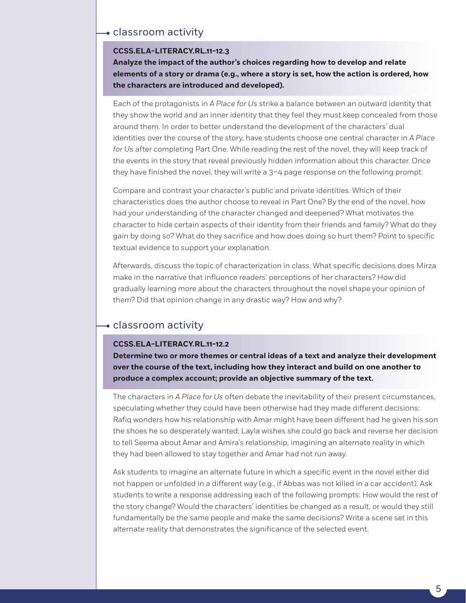## classroom activity

#### **CCSS.ELA-LITERACY.RL.11-12.3**

**Analyze the impact of the author's choices regarding how to develop and relate elements of a story or drama (e.g., where a story is set, how the action is ordered, how the characters are introduced and developed).**

Each of the protagonists in *A Place for Us* strike a balance between an outward identity that they show the world and an inner identity that they feel they must keep concealed from those around them. In order to better understand the development of the characters' dual identities over the course of the story, have students choose one central character in *A Place for Us* after completing Part One. While reading the rest of the novel, they will keep track of the events in the story that reveal previously hidden information about this character. Once they have finished the novel, they will write a 3–4 page response on the following prompt:

Compare and contrast your character's public and private identities. Which of their characteristics does the author choose to reveal in Part One? By the end of the novel, how had your understanding of the character changed and deepened? What motivates the character to hide certain aspects of their identity from their friends and family? What do they gain by doing so? What do they sacrifice and how does doing so hurt them? Point to specific textual evidence to support your explanation.

Afterwards, discuss the topic of characterization in class. What specific decisions does Mirza make in the narrative that influence readers' perceptions of her characters? How did gradually learning more about the characters throughout the novel shape your opinion of them? Did that opinion change in any drastic way? How and why?

# classroom activity

#### **CCSS.ELA-LITERACY.RL.11-12.2**

**Determine two or more themes or central ideas of a text and analyze their development over the course of the text, including how they interact and build on one another to produce a complex account; provide an objective summary of the text.**

The characters in *A Place for Us* often debate the inevitability of their present circumstances, speculating whether they could have been otherwise had they made different decisions: Rafiq wonders how his relationship with Amar might have been different had he given his son the shoes he so desperately wanted; Layla wishes she could go back and reverse her decision to tell Seema about Amar and Amira's relationship, imagining an alternate reality in which they had been allowed to stay together and Amar had not run away.

Ask students to imagine an alternate future in which a specific event in the novel either did not happen or unfolded in a different way (e.g., if Abbas was not killed in a car accident). Ask students to write a response addressing each of the following prompts: How would the rest of the story change? Would the characters' identities be changed as a result, or would they still fundamentally be the same people and make the same decisions? Write a scene set in this alternate reality that demonstrates the significance of the selected event.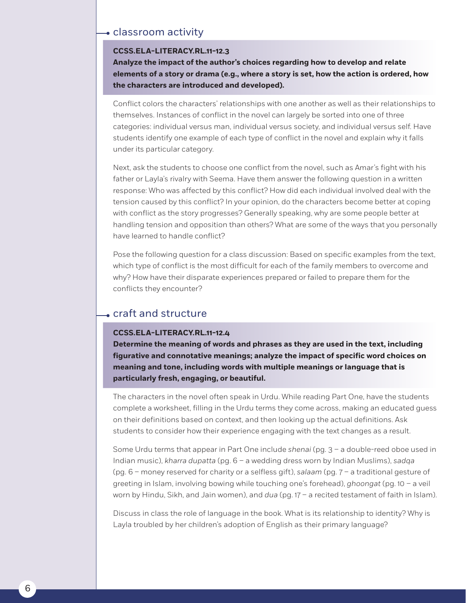## classroom activity

#### **CCSS.ELA-LITERACY.RL.11-12.3**

**Analyze the impact of the author's choices regarding how to develop and relate elements of a story or drama (e.g., where a story is set, how the action is ordered, how the characters are introduced and developed).**

Conflict colors the characters' relationships with one another as well as their relationships to themselves. Instances of conflict in the novel can largely be sorted into one of three categories: individual versus man, individual versus society, and individual versus self. Have students identify one example of each type of conflict in the novel and explain why it falls under its particular category.

Next, ask the students to choose one conflict from the novel, such as Amar's fight with his father or Layla's rivalry with Seema. Have them answer the following question in a written response: Who was affected by this conflict? How did each individual involved deal with the tension caused by this conflict? In your opinion, do the characters become better at coping with conflict as the story progresses? Generally speaking, why are some people better at handling tension and opposition than others? What are some of the ways that you personally have learned to handle conflict?

Pose the following question for a class discussion: Based on specific examples from the text, which type of conflict is the most difficult for each of the family members to overcome and why? How have their disparate experiences prepared or failed to prepare them for the conflicts they encounter?

# craft and structure

#### **CCSS.ELA-LITERACY.RL.11-12.4**

**Determine the meaning of words and phrases as they are used in the text, including figurative and connotative meanings; analyze the impact of specific word choices on meaning and tone, including words with multiple meanings or language that is particularly fresh, engaging, or beautiful.**

The characters in the novel often speak in Urdu. While reading Part One, have the students complete a worksheet, filling in the Urdu terms they come across, making an educated guess on their definitions based on context, and then looking up the actual definitions. Ask students to consider how their experience engaging with the text changes as a result.

Some Urdu terms that appear in Part One include *shenai* (pg. 3 – a double-reed oboe used in Indian music), *kharra dupatta* (pg. 6 – a wedding dress worn by Indian Muslims), *sadqa* (pg. 6 – money reserved for charity or a selfless gift), *salaam* (pg. 7 – a traditional gesture of greeting in Islam, involving bowing while touching one's forehead), *ghoongat* (pg. 10 – a veil worn by Hindu, Sikh, and Jain women), and *dua* (pg. 17 – a recited testament of faith in Islam).

Discuss in class the role of language in the book. What is its relationship to identity? Why is Layla troubled by her children's adoption of English as their primary language?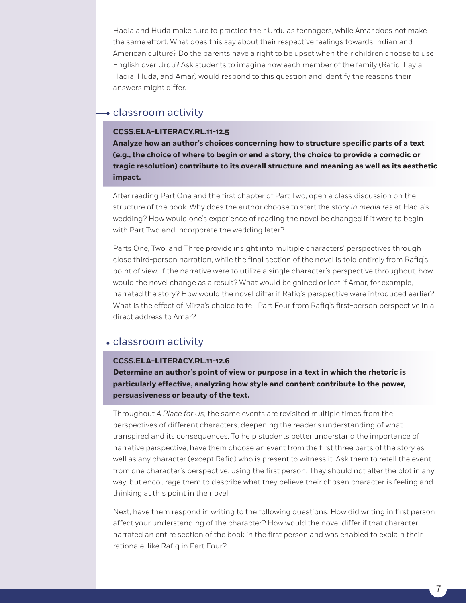Hadia and Huda make sure to practice their Urdu as teenagers, while Amar does not make the same effort. What does this say about their respective feelings towards Indian and American culture? Do the parents have a right to be upset when their children choose to use English over Urdu? Ask students to imagine how each member of the family (Rafiq, Layla, Hadia, Huda, and Amar) would respond to this question and identify the reasons their answers might differ.

## classroom activity

### **CCSS.ELA-LITERACY.RL.11-12.5**

**Analyze how an author's choices concerning how to structure specific parts of a text (e.g., the choice of where to begin or end a story, the choice to provide a comedic or tragic resolution) contribute to its overall structure and meaning as well as its aesthetic impact.**

After reading Part One and the first chapter of Part Two, open a class discussion on the structure of the book. Why does the author choose to start the story *in media res* at Hadia's wedding? How would one's experience of reading the novel be changed if it were to begin with Part Two and incorporate the wedding later?

Parts One, Two, and Three provide insight into multiple characters' perspectives through close third-person narration, while the final section of the novel is told entirely from Rafiq's point of view. If the narrative were to utilize a single character's perspective throughout, how would the novel change as a result? What would be gained or lost if Amar, for example, narrated the story? How would the novel differ if Rafiq's perspective were introduced earlier? What is the effect of Mirza's choice to tell Part Four from Rafiq's first-person perspective in a direct address to Amar?

## $\bullet$  classroom activity

#### **CCSS.ELA-LITERACY.RL.11-12.6**

**Determine an author's point of view or purpose in a text in which the rhetoric is particularly effective, analyzing how style and content contribute to the power, persuasiveness or beauty of the text.** 

Throughout *A Place for Us*, the same events are revisited multiple times from the perspectives of different characters, deepening the reader's understanding of what transpired and its consequences. To help students better understand the importance of narrative perspective, have them choose an event from the first three parts of the story as well as any character (except Rafiq) who is present to witness it. Ask them to retell the event from one character's perspective, using the first person. They should not alter the plot in any way, but encourage them to describe what they believe their chosen character is feeling and thinking at this point in the novel.

Next, have them respond in writing to the following questions: How did writing in first person affect your understanding of the character? How would the novel differ if that character narrated an entire section of the book in the first person and was enabled to explain their rationale, like Rafiq in Part Four?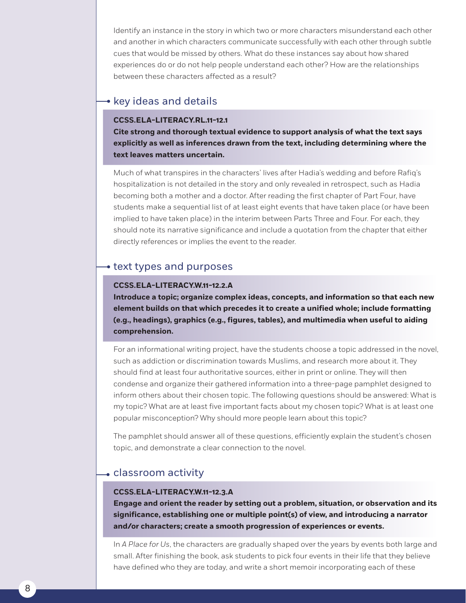Identify an instance in the story in which two or more characters misunderstand each other and another in which characters communicate successfully with each other through subtle cues that would be missed by others. What do these instances say about how shared experiences do or do not help people understand each other? How are the relationships between these characters affected as a result?

## $\bullet$  key ideas and details

#### **CCSS.ELA-LITERACY.RL.11-12.1**

**Cite strong and thorough textual evidence to support analysis of what the text says explicitly as well as inferences drawn from the text, including determining where the text leaves matters uncertain.**

Much of what transpires in the characters' lives after Hadia's wedding and before Rafiq's hospitalization is not detailed in the story and only revealed in retrospect, such as Hadia becoming both a mother and a doctor. After reading the first chapter of Part Four, have students make a sequential list of at least eight events that have taken place (or have been implied to have taken place) in the interim between Parts Three and Four. For each, they should note its narrative significance and include a quotation from the chapter that either directly references or implies the event to the reader.

# $\rightarrow$  text types and purposes

#### **CCSS.ELA-LITERACY.W.11-12.2.A**

**Introduce a topic; organize complex ideas, concepts, and information so that each new element builds on that which precedes it to create a unified whole; include formatting (e.g., headings), graphics (e.g., figures, tables), and multimedia when useful to aiding comprehension.**

For an informational writing project, have the students choose a topic addressed in the novel, such as addiction or discrimination towards Muslims, and research more about it. They should find at least four authoritative sources, either in print or online. They will then condense and organize their gathered information into a three-page pamphlet designed to inform others about their chosen topic. The following questions should be answered: What is my topic? What are at least five important facts about my chosen topic? What is at least one popular misconception? Why should more people learn about this topic?

The pamphlet should answer all of these questions, efficiently explain the student's chosen topic, and demonstrate a clear connection to the novel.

# classroom activity

### **CCSS.ELA-LITERACY.W.11-12.3.A**

**Engage and orient the reader by setting out a problem, situation, or observation and its significance, establishing one or multiple point(s) of view, and introducing a narrator and/or characters; create a smooth progression of experiences or events.**

In *A Place for Us*, the characters are gradually shaped over the years by events both large and small. After finishing the book, ask students to pick four events in their life that they believe have defined who they are today, and write a short memoir incorporating each of these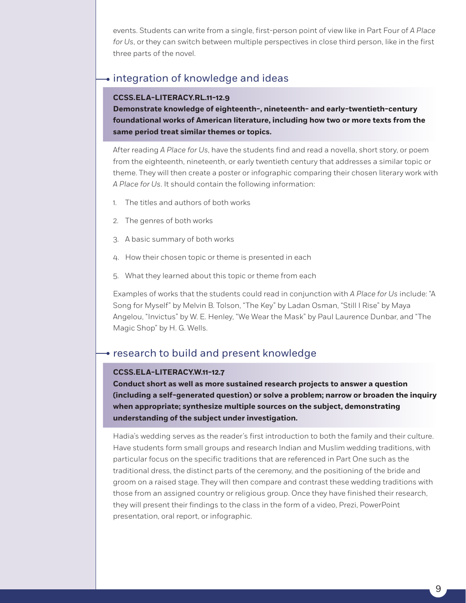events. Students can write from a single, first-person point of view like in Part Four of *A Place for Us*, or they can switch between multiple perspectives in close third person, like in the first three parts of the novel.

# • integration of knowledge and ideas

### **CCSS.ELA-LITERACY.RL.11-12.9**

**Demonstrate knowledge of eighteenth-, nineteenth- and early-twentieth-century foundational works of American literature, including how two or more texts from the same period treat similar themes or topics.**

After reading *A Place for Us*, have the students find and read a novella, short story, or poem from the eighteenth, nineteenth, or early twentieth century that addresses a similar topic or theme. They will then create a poster or infographic comparing their chosen literary work with *A Place for Us*. It should contain the following information:

- 1. The titles and authors of both works
- 2. The genres of both works
- 3. A basic summary of both works
- 4. How their chosen topic or theme is presented in each
- 5. What they learned about this topic or theme from each

Examples of works that the students could read in conjunction with *A Place for Us* include: "A Song for Myself" by Melvin B. Tolson, "The Key" by Ladan Osman, "Still I Rise" by Maya Angelou, "Invictus" by W. E. Henley, "We Wear the Mask" by Paul Laurence Dunbar, and "The Magic Shop" by H. G. Wells.

# • research to build and present knowledge

#### **CCSS.ELA-LITERACY.W.11-12.7**

**Conduct short as well as more sustained research projects to answer a question (including a self-generated question) or solve a problem; narrow or broaden the inquiry when appropriate; synthesize multiple sources on the subject, demonstrating understanding of the subject under investigation.**

Hadia's wedding serves as the reader's first introduction to both the family and their culture. Have students form small groups and research Indian and Muslim wedding traditions, with particular focus on the specific traditions that are referenced in Part One such as the traditional dress, the distinct parts of the ceremony, and the positioning of the bride and groom on a raised stage. They will then compare and contrast these wedding traditions with those from an assigned country or religious group. Once they have finished their research, they will present their findings to the class in the form of a video, Prezi, PowerPoint presentation, oral report, or infographic.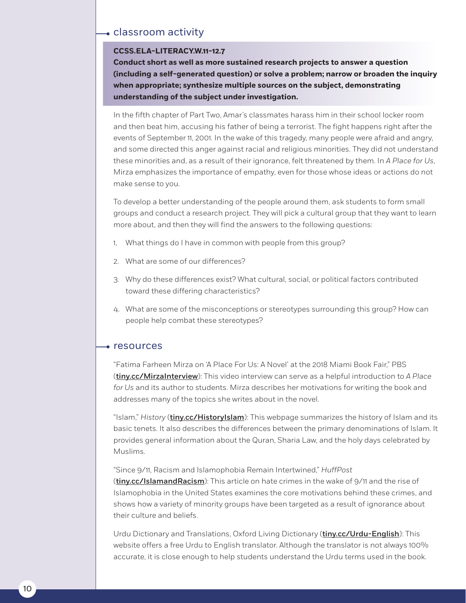## classroom activity

#### **CCSS.ELA-LITERACY.W.11-12.7**

**Conduct short as well as more sustained research projects to answer a question (including a self-generated question) or solve a problem; narrow or broaden the inquiry when appropriate; synthesize multiple sources on the subject, demonstrating understanding of the subject under investigation.**

In the fifth chapter of Part Two, Amar's classmates harass him in their school locker room and then beat him, accusing his father of being a terrorist. The fight happens right after the events of September 11, 2001. In the wake of this tragedy, many people were afraid and angry, and some directed this anger against racial and religious minorities. They did not understand these minorities and, as a result of their ignorance, felt threatened by them. In *A Place for Us*, Mirza emphasizes the importance of empathy, even for those whose ideas or actions do not make sense to you.

To develop a better understanding of the people around them, ask students to form small groups and conduct a research project. They will pick a cultural group that they want to learn more about, and then they will find the answers to the following questions:

- 1, What things do I have in common with people from this group?
- 2. What are some of our differences?
- 3. Why do these differences exist? What cultural, social, or political factors contributed toward these differing characteristics?
- 4. What are some of the misconceptions or stereotypes surrounding this group? How can people help combat these stereotypes?

#### resources

"Fatima Farheen Mirza on 'A Place For Us: A Novel' at the 2018 Miami Book Fair," PBS ([tiny.cc/MirzaInterview](http://tiny.cc/MirzaInterview)): This video interview can serve as a helpful introduction to *A Place for Us* and its author to students. Mirza describes her motivations for writing the book and addresses many of the topics she writes about in the novel.

"Islam," *History* ([tiny.cc/HistoryIslam](http://tiny.cc/HistoryIslam)): This webpage summarizes the history of Islam and its basic tenets. It also describes the differences between the primary denominations of Islam. It provides general information about the Quran, Sharia Law, and the holy days celebrated by Muslims.

"Since 9/11, Racism and Islamophobia Remain Intertwined," *HuffPost*

([tiny.cc/IslamandRacism](http://tiny.cc/IslamandRacism)): This article on hate crimes in the wake of 9/11 and the rise of Islamophobia in the United States examines the core motivations behind these crimes, and shows how a variety of minority groups have been targeted as a result of ignorance about their culture and beliefs.

Urdu Dictionary and Translations, Oxford Living Dictionary (*[tiny.cc/Urdu-English](http://tiny.cc/Urdu-English)*): This website offers a free Urdu to English translator. Although the translator is not always 100% accurate, it is close enough to help students understand the Urdu terms used in the book.